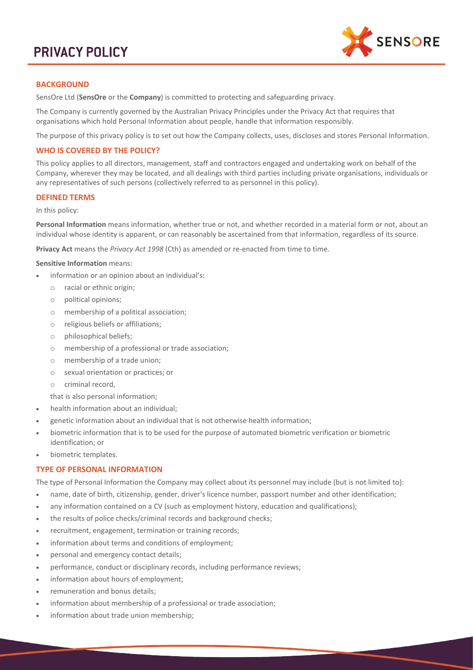# **PRIVACY POLICY**



# **BACKGROUND**

SensOre Ltd (**SensOre** or the **Company**) is committed to protecting and safeguarding privacy.

The Company is currently governed by the Australian Privacy Principles under the Privacy Act that requires that organisations which hold Personal Information about people, handle that information responsibly.

The purpose of this privacy policy is to set out how the Company collects, uses, discloses and stores Personal Information.

## **WHO IS COVERED BY THE POLICY?**

This policy applies to all directors, management, staff and contractors engaged and undertaking work on behalf of the Company, wherever they may be located, and all dealings with third parties including private organisations, individuals or any representatives of such persons (collectively referred to as personnel in this policy).

# **DEFINED TERMS**

In this policy:

**Personal Information** means information, whether true or not, and whether recorded in a material form or not, about an individual whose identity is apparent, or can reasonably be ascertained from that information, regardless of its source.

**Privacy Act** means the *Privacy Act 1998* (Cth) as amended or re-enacted from time to time.

#### **Sensitive Information** means:

- information or an opinion about an individual's:
	- o racial or ethnic origin;
	- o political opinions;
	- o membership of a political association;
	- o religious beliefs or affiliations;
	- o philosophical beliefs;
	- o membership of a professional or trade association;
	- o membership of a trade union;
	- o sexual orientation or practices; or
	- o criminal record,

that is also personal information;

- health information about an individual;
- genetic information about an individual that is not otherwise health information;
- biometric information that is to be used for the purpose of automated biometric verification or biometric identification; or
- biometric templates.

## **TYPE OF PERSONAL INFORMATION**

The type of Personal Information the Company may collect about its personnel may include (but is not limited to):

- name, date of birth, citizenship, gender, driver's licence number, passport number and other identification;
- any information contained on a CV (such as employment history, education and qualifications);
- the results of police checks/criminal records and background checks;
- recruitment, engagement, termination or training records;
- information about terms and conditions of employment;
- personal and emergency contact details;
- performance, conduct or disciplinary records, including performance reviews;
- information about hours of employment;
- remuneration and bonus details;
- information about membership of a professional or trade association;
- information about trade union membership;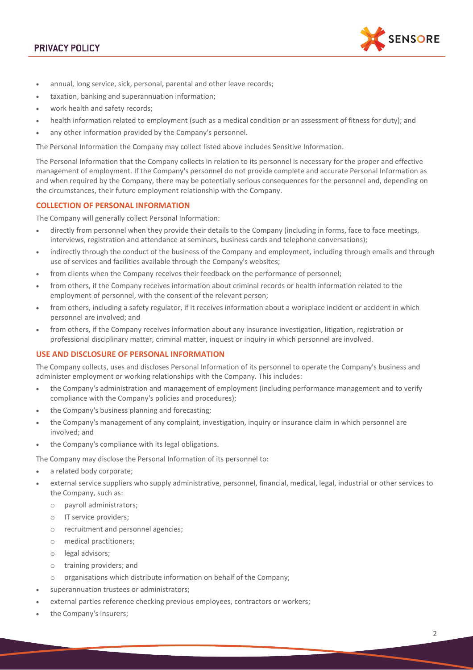# **PRIVACY POLICY**



- annual, long service, sick, personal, parental and other leave records;
- taxation, banking and superannuation information;
- work health and safety records;
- health information related to employment (such as a medical condition or an assessment of fitness for duty); and
- any other information provided by the Company's personnel.

The Personal Information the Company may collect listed above includes Sensitive Information.

The Personal Information that the Company collects in relation to its personnel is necessary for the proper and effective management of employment. If the Company's personnel do not provide complete and accurate Personal Information as and when required by the Company, there may be potentially serious consequences for the personnel and, depending on the circumstances, their future employment relationship with the Company.

# **COLLECTION OF PERSONAL INFORMATION**

The Company will generally collect Personal Information:

- directly from personnel when they provide their details to the Company (including in forms, face to face meetings, interviews, registration and attendance at seminars, business cards and telephone conversations);
- indirectly through the conduct of the business of the Company and employment, including through emails and through use of services and facilities available through the Company's websites;
- from clients when the Company receives their feedback on the performance of personnel;
- from others, if the Company receives information about criminal records or health information related to the employment of personnel, with the consent of the relevant person;
- from others, including a safety regulator, if it receives information about a workplace incident or accident in which personnel are involved; and
- from others, if the Company receives information about any insurance investigation, litigation, registration or professional disciplinary matter, criminal matter, inquest or inquiry in which personnel are involved.

#### **USE AND DISCLOSURE OF PERSONAL INFORMATION**

The Company collects, uses and discloses Personal Information of its personnel to operate the Company's business and administer employment or working relationships with the Company. This includes:

- the Company's administration and management of employment (including performance management and to verify compliance with the Company's policies and procedures);
- the Company's business planning and forecasting;
- the Company's management of any complaint, investigation, inquiry or insurance claim in which personnel are involved; and
- the Company's compliance with its legal obligations.

The Company may disclose the Personal Information of its personnel to:

- a related body corporate;
- external service suppliers who supply administrative, personnel, financial, medical, legal, industrial or other services to the Company, such as:
	- o payroll administrators;
	- o IT service providers;
	- o recruitment and personnel agencies;
	- o medical practitioners;
	- o legal advisors;
	- o training providers; and
	- o organisations which distribute information on behalf of the Company;
- superannuation trustees or administrators;
- external parties reference checking previous employees, contractors or workers;
- the Company's insurers;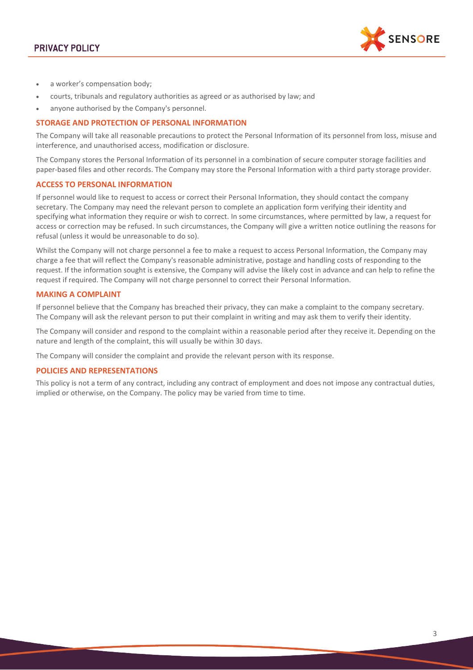

- a worker's compensation body;
- courts, tribunals and regulatory authorities as agreed or as authorised by law; and
- anyone authorised by the Company's personnel.

#### **STORAGE AND PROTECTION OF PERSONAL INFORMATION**

The Company will take all reasonable precautions to protect the Personal Information of its personnel from loss, misuse and interference, and unauthorised access, modification or disclosure.

The Company stores the Personal Information of its personnel in a combination of secure computer storage facilities and paper-based files and other records. The Company may store the Personal Information with a third party storage provider.

#### **ACCESS TO PERSONAL INFORMATION**

If personnel would like to request to access or correct their Personal Information, they should contact the company secretary. The Company may need the relevant person to complete an application form verifying their identity and specifying what information they require or wish to correct. In some circumstances, where permitted by law, a request for access or correction may be refused. In such circumstances, the Company will give a written notice outlining the reasons for refusal (unless it would be unreasonable to do so).

Whilst the Company will not charge personnel a fee to make a request to access Personal Information, the Company may charge a fee that will reflect the Company's reasonable administrative, postage and handling costs of responding to the request. If the information sought is extensive, the Company will advise the likely cost in advance and can help to refine the request if required. The Company will not charge personnel to correct their Personal Information.

#### **MAKING A COMPLAINT**

If personnel believe that the Company has breached their privacy, they can make a complaint to the company secretary. The Company will ask the relevant person to put their complaint in writing and may ask them to verify their identity.

The Company will consider and respond to the complaint within a reasonable period after they receive it. Depending on the nature and length of the complaint, this will usually be within 30 days.

The Company will consider the complaint and provide the relevant person with its response.

#### **POLICIES AND REPRESENTATIONS**

This policy is not a term of any contract, including any contract of employment and does not impose any contractual duties, implied or otherwise, on the Company. The policy may be varied from time to time.